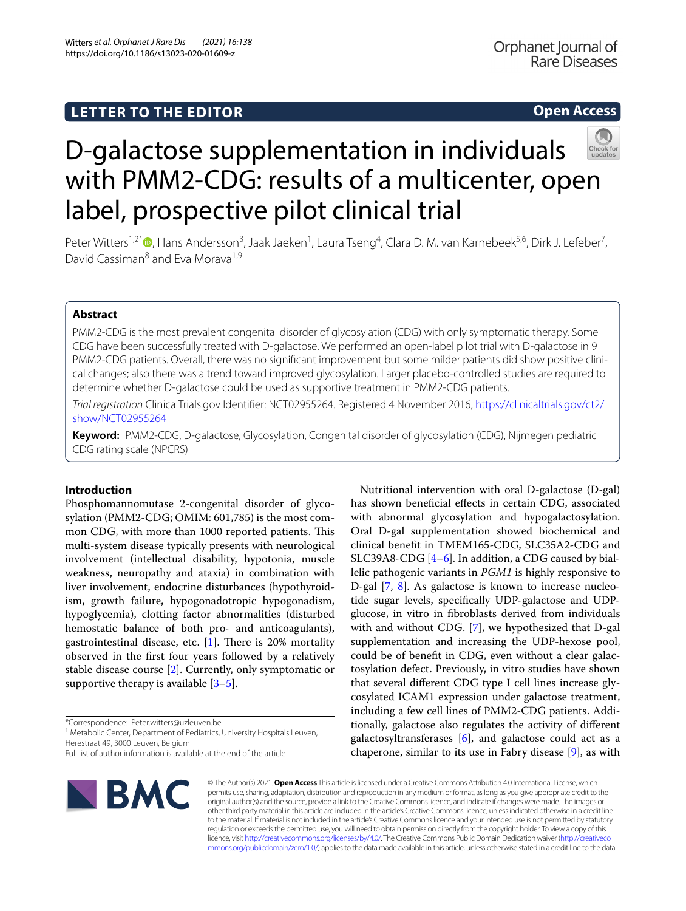## **LETTER TO THE EDITOR**

## **Open Access**



# D-galactose supplementation in individuals with PMM2-CDG: results of a multicenter, open label, prospective pilot clinical trial

Peter Witters<sup>1,2[\\*](http://orcid.org/0000-0002-9264-6153)</sup><sup>®</sup>, Hans Andersson<sup>3</sup>, Jaak Jaeken<sup>1</sup>, Laura Tseng<sup>4</sup>, Clara D. M. van Karnebeek<sup>5,6</sup>, Dirk J. Lefeber<sup>7</sup>, David Cassiman<sup>8</sup> and Eva Morava<sup>1,9</sup>

## **Abstract**

PMM2-CDG is the most prevalent congenital disorder of glycosylation (CDG) with only symptomatic therapy. Some CDG have been successfully treated with D-galactose. We performed an open-label pilot trial with D-galactose in 9 PMM2-CDG patients. Overall, there was no signifcant improvement but some milder patients did show positive clinical changes; also there was a trend toward improved glycosylation. Larger placebo-controlled studies are required to determine whether D-galactose could be used as supportive treatment in PMM2-CDG patients.

*Trial registration* ClinicalTrials.gov Identifer: NCT02955264. Registered 4 November 2016, [https://clinicaltrials.gov/ct2/](https://clinicaltrials.gov/ct2/show/NCT02955264) [show/NCT02955264](https://clinicaltrials.gov/ct2/show/NCT02955264)

**Keyword:** PMM2-CDG, D-galactose, Glycosylation, Congenital disorder of glycosylation (CDG), Nijmegen pediatric CDG rating scale (NPCRS)

## **Introduction**

Phosphomannomutase 2-congenital disorder of glycosylation (PMM2-CDG; OMIM: 601,785) is the most common CDG, with more than 1000 reported patients. This multi-system disease typically presents with neurological involvement (intellectual disability, hypotonia, muscle weakness, neuropathy and ataxia) in combination with liver involvement, endocrine disturbances (hypothyroidism, growth failure, hypogonadotropic hypogonadism, hypoglycemia), clotting factor abnormalities (disturbed hemostatic balance of both pro- and anticoagulants), gastrointestinal disease, etc.  $[1]$  $[1]$ . There is 20% mortality observed in the frst four years followed by a relatively stable disease course [\[2\]](#page-4-1). Currently, only symptomatic or supportive therapy is available [\[3](#page-4-2)[–5](#page-4-3)].

<sup>1</sup> Metabolic Center, Department of Pediatrics, University Hospitals Leuven, Herestraat 49, 3000 Leuven, Belgium

Full list of author information is available at the end of the article



Nutritional intervention with oral D-galactose (D-gal) has shown benefcial efects in certain CDG, associated with abnormal glycosylation and hypogalactosylation. Oral D-gal supplementation showed biochemical and clinical beneft in TMEM165-CDG, SLC35A2-CDG and SLC39A8-CDG [\[4](#page-4-4)[–6](#page-4-5)]. In addition, a CDG caused by biallelic pathogenic variants in *PGM1* is highly responsive to D-gal [\[7](#page-4-6), [8](#page-4-7)]. As galactose is known to increase nucleotide sugar levels, specifcally UDP-galactose and UDPglucose, in vitro in fbroblasts derived from individuals with and without CDG. [[7](#page-4-6)], we hypothesized that D-gal supplementation and increasing the UDP-hexose pool, could be of beneft in CDG, even without a clear galactosylation defect. Previously, in vitro studies have shown that several diferent CDG type I cell lines increase glycosylated ICAM1 expression under galactose treatment, including a few cell lines of PMM2-CDG patients. Additionally, galactose also regulates the activity of diferent galactosyltransferases  $[6]$ , and galactose could act as a chaperone, similar to its use in Fabry disease [[9\]](#page-4-8), as with

© The Author(s) 2021. **Open Access** This article is licensed under a Creative Commons Attribution 4.0 International License, which permits use, sharing, adaptation, distribution and reproduction in any medium or format, as long as you give appropriate credit to the original author(s) and the source, provide a link to the Creative Commons licence, and indicate if changes were made. The images or other third party material in this article are included in the article's Creative Commons licence, unless indicated otherwise in a credit line to the material. If material is not included in the article's Creative Commons licence and your intended use is not permitted by statutory regulation or exceeds the permitted use, you will need to obtain permission directly from the copyright holder. To view a copy of this licence, visit [http://creativecommons.org/licenses/by/4.0/.](http://creativecommons.org/licenses/by/4.0/) The Creative Commons Public Domain Dedication waiver ([http://creativeco](http://creativecommons.org/publicdomain/zero/1.0/) [mmons.org/publicdomain/zero/1.0/](http://creativecommons.org/publicdomain/zero/1.0/)) applies to the data made available in this article, unless otherwise stated in a credit line to the data.

<sup>\*</sup>Correspondence: Peter.witters@uzleuven.be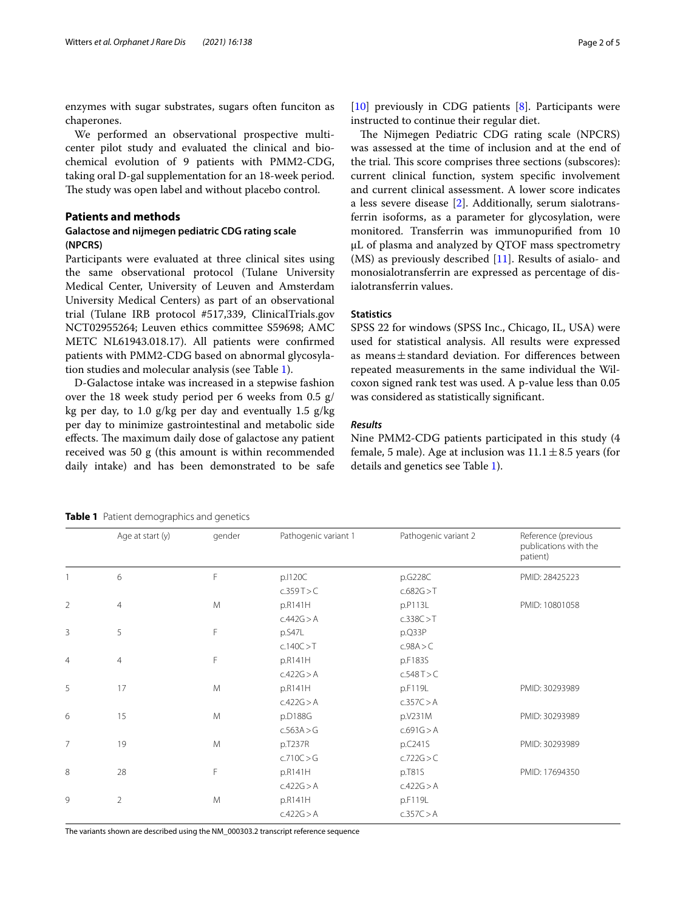enzymes with sugar substrates, sugars often funciton as chaperones.

We performed an observational prospective multicenter pilot study and evaluated the clinical and biochemical evolution of 9 patients with PMM2-CDG, taking oral D-gal supplementation for an 18-week period. The study was open label and without placebo control.

## **Patients and methods**

## **Galactose and nijmegen pediatric CDG rating scale (NPCRS)**

Participants were evaluated at three clinical sites using the same observational protocol (Tulane University Medical Center, University of Leuven and Amsterdam University Medical Centers) as part of an observational trial (Tulane IRB protocol #517,339, ClinicalTrials.gov NCT02955264; Leuven ethics committee S59698; AMC METC NL61943.018.17). All patients were confrmed patients with PMM2-CDG based on abnormal glycosylation studies and molecular analysis (see Table [1](#page-1-0)).

D-Galactose intake was increased in a stepwise fashion over the 18 week study period per 6 weeks from 0.5  $g$ / kg per day, to 1.0  $g/kg$  per day and eventually 1.5  $g/kg$ per day to minimize gastrointestinal and metabolic side effects. The maximum daily dose of galactose any patient received was 50 g (this amount is within recommended daily intake) and has been demonstrated to be safe [[10\]](#page-4-9) previously in CDG patients [[8\]](#page-4-7). Participants were instructed to continue their regular diet.

The Nijmegen Pediatric CDG rating scale (NPCRS) was assessed at the time of inclusion and at the end of the trial. This score comprises three sections (subscores): current clinical function, system specifc involvement and current clinical assessment. A lower score indicates a less severe disease [\[2](#page-4-1)]. Additionally, serum sialotransferrin isoforms, as a parameter for glycosylation, were monitored. Transferrin was immunopurifed from 10 µL of plasma and analyzed by QTOF mass spectrometry (MS) as previously described [\[11](#page-4-10)]. Results of asialo- and monosialotransferrin are expressed as percentage of disialotransferrin values.

## **Statistics**

SPSS 22 for windows (SPSS Inc., Chicago, IL, USA) were used for statistical analysis. All results were expressed as means $\pm$ standard deviation. For differences between repeated measurements in the same individual the Wilcoxon signed rank test was used. A p-value less than 0.05 was considered as statistically signifcant.

#### *Results*

Nine PMM2-CDG patients participated in this study (4 female, 5 male). Age at inclusion was  $11.1 \pm 8.5$  years (for details and genetics see Table [1](#page-1-0)).

<span id="page-1-0"></span>**Table 1** Patient demographics and genetics

|                | Age at start (y) | gender | Pathogenic variant 1 | Pathogenic variant 2 | Reference (previous<br>publications with the<br>patient) |
|----------------|------------------|--------|----------------------|----------------------|----------------------------------------------------------|
|                | 6                | F      | p.1120C              | p.G228C              | PMID: 28425223                                           |
|                |                  |        | c.359T>C             | c.682G > T           |                                                          |
| $\overline{2}$ | $\overline{4}$   | M      | p.R141H              | p.P113L              | PMID: 10801058                                           |
|                |                  |        | c.442G > A           | c.338C > T           |                                                          |
| 3              | 5                | F      | p.S47L               | p.Q33P               |                                                          |
|                |                  |        | c.140C > T           | c.98A > C            |                                                          |
| $\overline{4}$ | $\overline{4}$   | F      | p.R141H              | p.F183S              |                                                          |
|                |                  |        | c.422G > A           | c.548T > C           |                                                          |
| 5              | 17               | M      | p.R141H              | p.F119L              | PMID: 30293989                                           |
|                |                  |        | c.422G > A           | c.357C > A           |                                                          |
| 6              | 15               | M      | p.D188G              | p.V231M              | PMID: 30293989                                           |
|                |                  |        | c.563A > G           | c.691G > A           |                                                          |
| $\overline{7}$ | 19               | M      | p.T237R              | p.C241S              | PMID: 30293989                                           |
|                |                  |        | c.710C > G           | c.722G > C           |                                                          |
| 8              | 28               | F      | p.R141H              | p.T81S               | PMID: 17694350                                           |
|                |                  |        | c.422G > A           | c.422G > A           |                                                          |
| 9              | $\overline{2}$   | M      | p.R141H              | p.F119L              |                                                          |
|                |                  |        | c.422G > A           | c.357C > A           |                                                          |

The variants shown are described using the NM\_000303.2 transcript reference sequence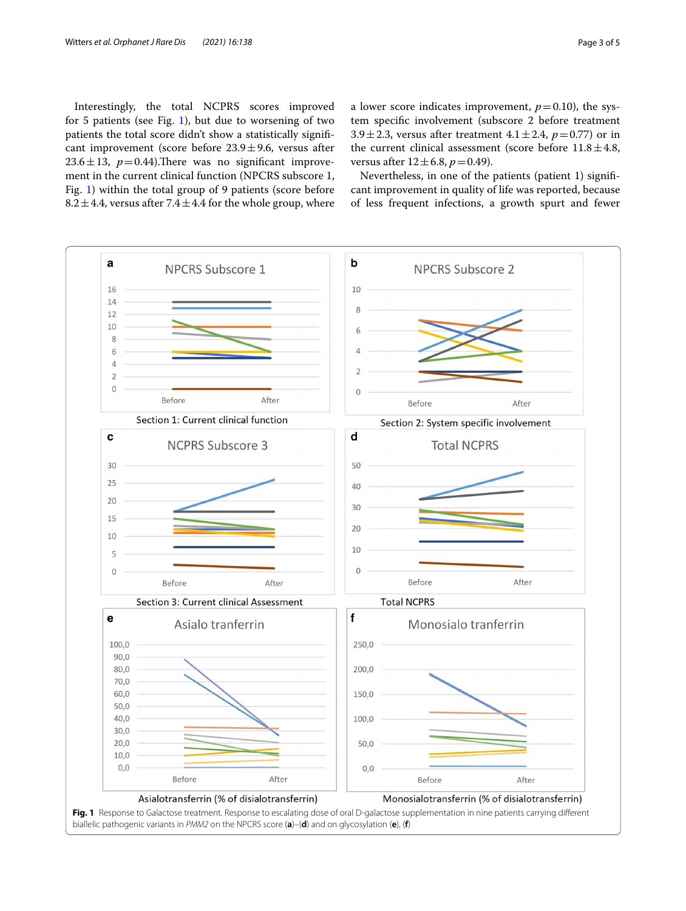Interestingly, the total NCPRS scores improved for 5 patients (see Fig. [1](#page-2-0)), but due to worsening of two patients the total score didn't show a statistically signifcant improvement (score before  $23.9 \pm 9.6$ , versus after 23.6 $\pm$ 13,  $p$  = 0.44). There was no significant improvement in the current clinical function (NPCRS subscore 1, Fig. [1\)](#page-2-0) within the total group of 9 patients (score before 8.2  $\pm$  4.4, versus after 7.4  $\pm$  4.4 for the whole group, where a lower score indicates improvement,  $p=0.10$ ), the system specifc involvement (subscore 2 before treatment 3.9 $\pm$ 2.3, versus after treatment 4.1 $\pm$ 2.4, *p*=0.77) or in the current clinical assessment (score before  $11.8 \pm 4.8$ , versus after  $12 \pm 6.8$ ,  $p = 0.49$ ).

Nevertheless, in one of the patients (patient 1) signifcant improvement in quality of life was reported, because of less frequent infections, a growth spurt and fewer

<span id="page-2-0"></span>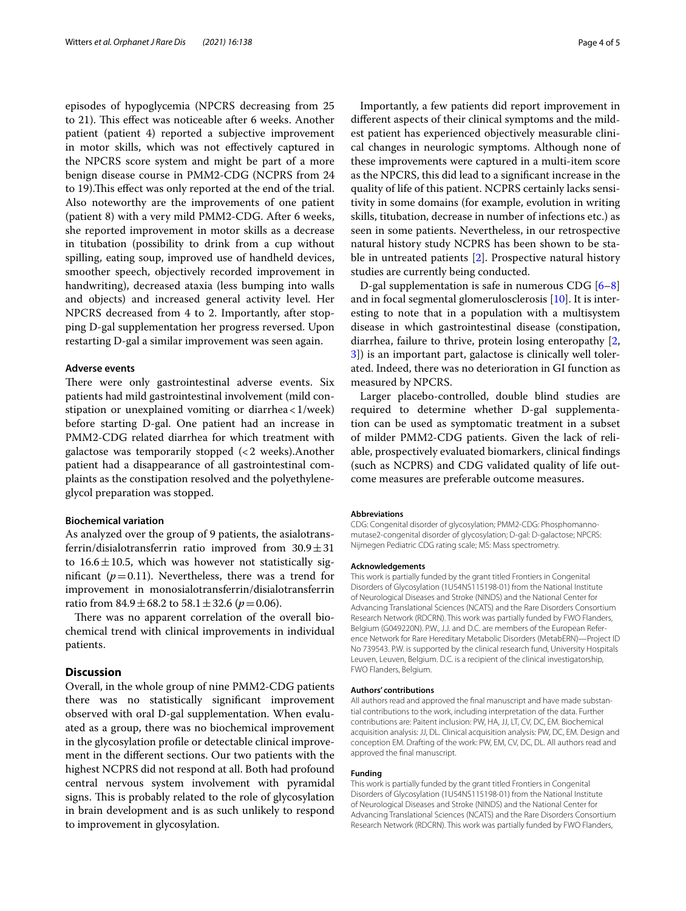episodes of hypoglycemia (NPCRS decreasing from 25 to 21). This effect was noticeable after 6 weeks. Another patient (patient 4) reported a subjective improvement in motor skills, which was not efectively captured in the NPCRS score system and might be part of a more benign disease course in PMM2-CDG (NCPRS from 24 to 19). This effect was only reported at the end of the trial. Also noteworthy are the improvements of one patient (patient 8) with a very mild PMM2-CDG. After 6 weeks, she reported improvement in motor skills as a decrease in titubation (possibility to drink from a cup without spilling, eating soup, improved use of handheld devices, smoother speech, objectively recorded improvement in handwriting), decreased ataxia (less bumping into walls and objects) and increased general activity level. Her NPCRS decreased from 4 to 2. Importantly, after stopping D-gal supplementation her progress reversed. Upon restarting D-gal a similar improvement was seen again.

#### **Adverse events**

There were only gastrointestinal adverse events. Six patients had mild gastrointestinal involvement (mild constipation or unexplained vomiting or diarrhea<1/week) before starting D-gal. One patient had an increase in PMM2-CDG related diarrhea for which treatment with galactose was temporarily stopped (<2 weeks).Another patient had a disappearance of all gastrointestinal complaints as the constipation resolved and the polyethyleneglycol preparation was stopped.

### **Biochemical variation**

As analyzed over the group of 9 patients, the asialotransferrin/disialotransferrin ratio improved from  $30.9 \pm 31$ to  $16.6 \pm 10.5$ , which was however not statistically significant ( $p=0.11$ ). Nevertheless, there was a trend for improvement in monosialotransferrin/disialotransferrin ratio from  $84.9 \pm 68.2$  to  $58.1 \pm 32.6$  ( $p = 0.06$ ).

There was no apparent correlation of the overall biochemical trend with clinical improvements in individual patients.

## **Discussion**

Overall, in the whole group of nine PMM2-CDG patients there was no statistically signifcant improvement observed with oral D-gal supplementation. When evaluated as a group, there was no biochemical improvement in the glycosylation profle or detectable clinical improvement in the diferent sections. Our two patients with the highest NCPRS did not respond at all. Both had profound central nervous system involvement with pyramidal signs. This is probably related to the role of glycosylation in brain development and is as such unlikely to respond to improvement in glycosylation.

Importantly, a few patients did report improvement in diferent aspects of their clinical symptoms and the mildest patient has experienced objectively measurable clinical changes in neurologic symptoms. Although none of these improvements were captured in a multi-item score as the NPCRS, this did lead to a signifcant increase in the quality of life of this patient. NCPRS certainly lacks sensitivity in some domains (for example, evolution in writing skills, titubation, decrease in number of infections etc.) as seen in some patients. Nevertheless, in our retrospective natural history study NCPRS has been shown to be stable in untreated patients [\[2](#page-4-1)]. Prospective natural history studies are currently being conducted.

D-gal supplementation is safe in numerous CDG [[6](#page-4-5)[–8](#page-4-7)] and in focal segmental glomerulosclerosis [[10\]](#page-4-9). It is interesting to note that in a population with a multisystem disease in which gastrointestinal disease (constipation, diarrhea, failure to thrive, protein losing enteropathy [\[2](#page-4-1), [3\]](#page-4-2)) is an important part, galactose is clinically well tolerated. Indeed, there was no deterioration in GI function as measured by NPCRS.

Larger placebo-controlled, double blind studies are required to determine whether D-gal supplementation can be used as symptomatic treatment in a subset of milder PMM2-CDG patients. Given the lack of reliable, prospectively evaluated biomarkers, clinical fndings (such as NCPRS) and CDG validated quality of life outcome measures are preferable outcome measures.

#### **Abbreviations**

CDG: Congenital disorder of glycosylation; PMM2-CDG: Phosphomannomutase2-congenital disorder of glycosylation; D-gal: D-galactose; NPCRS: Nijmegen Pediatric CDG rating scale; MS: Mass spectrometry.

#### **Acknowledgements**

This work is partially funded by the grant titled Frontiers in Congenital Disorders of Glycosylation (1U54NS115198-01) from the National Institute of Neurological Diseases and Stroke (NINDS) and the National Center for Advancing Translational Sciences (NCATS) and the Rare Disorders Consortium Research Network (RDCRN). This work was partially funded by FWO Flanders, Belgium (G049220N). P.W., J.J. and D.C. are members of the European Reference Network for Rare Hereditary Metabolic Disorders (MetabERN)—Project ID No 739543. P.W. is supported by the clinical research fund, University Hospitals Leuven, Leuven, Belgium. D.C. is a recipient of the clinical investigatorship, FWO Flanders, Belgium.

#### **Authors' contributions**

All authors read and approved the fnal manuscript and have made substantial contributions to the work, including interpretation of the data. Further contributions are: Paitent inclusion: PW, HA, JJ, LT, CV, DC, EM. Biochemical acquisition analysis: JJ, DL. Clinical acquisition analysis: PW, DC, EM. Design and conception EM. Drafting of the work: PW, EM, CV, DC, DL. All authors read and approved the fnal manuscript.

#### **Funding**

This work is partially funded by the grant titled Frontiers in Congenital Disorders of Glycosylation (1U54NS115198-01) from the National Institute of Neurological Diseases and Stroke (NINDS) and the National Center for Advancing Translational Sciences (NCATS) and the Rare Disorders Consortium Research Network (RDCRN). This work was partially funded by FWO Flanders,